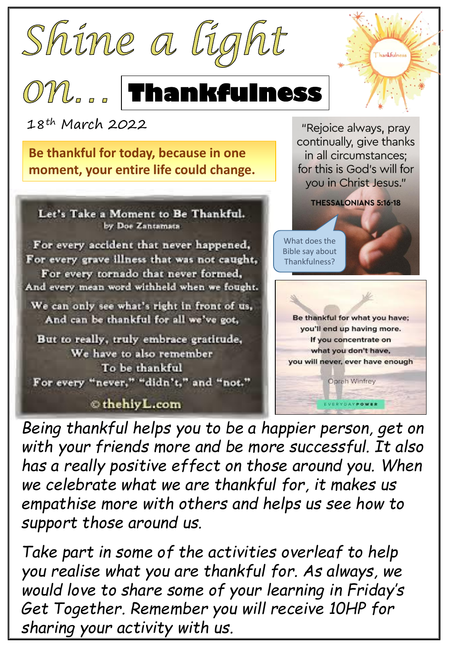





**Thankfulness** 

"Rejoice always, pray continually, give thanks in all circumstances; for this is God's will for

VERYDAYPOWER



18th March 2022

**Be thankful for today, because in one moment, your entire life could change.**



## thehiyL.com

*Being thankful helps you to be a happier person, get on with your friends more and be more successful. It also has a really positive effect on those around you. When we celebrate what we are thankful for, it makes us empathise more with others and helps us see how to support those around us.* 

*Take part in some of the activities overleaf to help you realise what you are thankful for. As always, we would love to share some of your learning in Friday's Get Together. Remember you will receive 10HP for sharing your activity with us.*